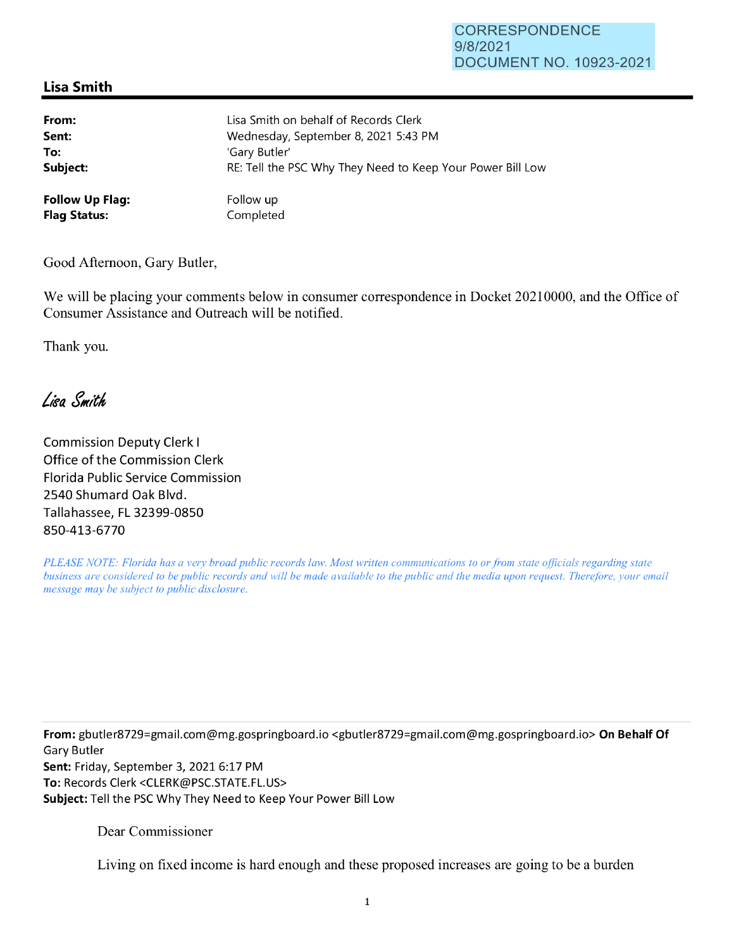## CORRESPONDENCE 9/8/2021 DOCUMENT NO. 10923-2021

## **Lisa Smith**

| From:                  | Lisa Smith on behalf of Records Clerk                      |
|------------------------|------------------------------------------------------------|
| Sent:                  | Wednesday, September 8, 2021 5:43 PM                       |
| To:                    | 'Gary Butler'                                              |
| Subject:               | RE: Tell the PSC Why They Need to Keep Your Power Bill Low |
| <b>Follow Up Flag:</b> | Follow up                                                  |
| <b>Flag Status:</b>    | Completed                                                  |

Good Afternoon, Gary Butler,

We will be placing your comments below in consumer correspondence in Docket 20210000, and the Office of Consumer Assistance and Outreach will be notified.

Thank you.

Lisa Smith

Commission Deputy Clerk I Office of the Commission Clerk Florida Public Service Commission 2540 Shumard Oak Blvd. Tallahassee, FL 32399-0850 850-413-6770

*PLEASE NOTE: Florida has a very broad public records law. Most written communications to or from state officials regarding state business are considered to be public records and will be made available to the public and the media upon request. Therefore, your email message may be subject to public disclosure.* 

**From:** gbutler8729=gmail.com@mg.gospringboard.io <gbutler8729=gmai1.com@mg.gospringboard.io> **On Behalf Of**  Gary Butler **Sent:** Friday, September 3, 2021 6:17 PM **To:** Records Clerk <CLERK@PSC.STATE.FL.US> **Subject:** Tell the PSC Why They Need to Keep Your Power Bill Low

Dear Commissioner

Living on fixed income is hard enough and these proposed increases are going to be a burden